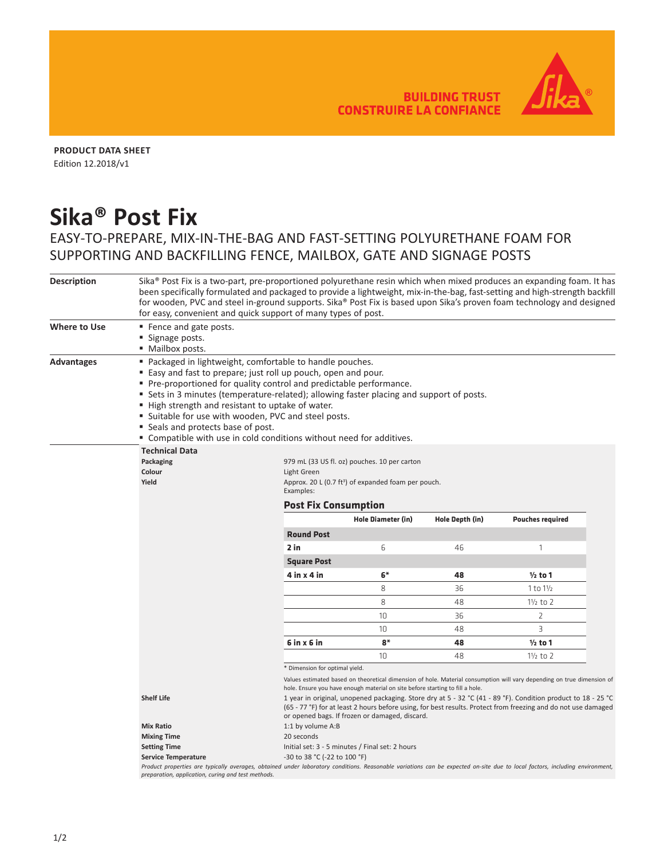**BUILDING TRUST CONSTRUIRE LA CONFIANCE** 



**PRODUCT DATA SHEET** Edition 12.2018/v1

## **Sika® Post Fix**

## EASY-TO-PREPARE, MIX-IN-THE-BAG AND FAST-SETTING POLYURETHANE FOAM FOR SUPPORTING AND BACKFILLING FENCE, MAILBOX, GATE AND SIGNAGE POSTS

| <b>Description</b> | Sika® Post Fix is a two-part, pre-proportioned polyurethane resin which when mixed produces an expanding foam. It has<br>been specifically formulated and packaged to provide a lightweight, mix-in-the-bag, fast-setting and high-strength backfill<br>for wooden, PVC and steel in-ground supports. Sika® Post Fix is based upon Sika's proven foam technology and designed<br>for easy, convenient and quick support of many types of post.                                                                            |                                                                                                                                                                                                                                                                                  |                    |                 |                         |  |  |  |
|--------------------|---------------------------------------------------------------------------------------------------------------------------------------------------------------------------------------------------------------------------------------------------------------------------------------------------------------------------------------------------------------------------------------------------------------------------------------------------------------------------------------------------------------------------|----------------------------------------------------------------------------------------------------------------------------------------------------------------------------------------------------------------------------------------------------------------------------------|--------------------|-----------------|-------------------------|--|--|--|
| Where to Use       | ■ Fence and gate posts.<br>■ Signage posts.<br>· Mailbox posts.                                                                                                                                                                                                                                                                                                                                                                                                                                                           |                                                                                                                                                                                                                                                                                  |                    |                 |                         |  |  |  |
| Advantages         | " Packaged in lightweight, comfortable to handle pouches.<br>■ Easy and fast to prepare; just roll up pouch, open and pour.<br>• Pre-proportioned for quality control and predictable performance.<br>" Sets in 3 minutes (temperature-related); allowing faster placing and support of posts.<br>■ High strength and resistant to uptake of water.<br>" Suitable for use with wooden, PVC and steel posts.<br>■ Seals and protects base of post.<br>" Compatible with use in cold conditions without need for additives. |                                                                                                                                                                                                                                                                                  |                    |                 |                         |  |  |  |
|                    | <b>Technical Data</b><br>Packaging<br>Colour<br>Yield                                                                                                                                                                                                                                                                                                                                                                                                                                                                     | 979 mL (33 US fl. oz) pouches. 10 per carton<br>Light Green<br>Approx. 20 L (0.7 ft <sup>3</sup> ) of expanded foam per pouch.<br>Examples:                                                                                                                                      |                    |                 |                         |  |  |  |
|                    | <b>Post Fix Consumption</b>                                                                                                                                                                                                                                                                                                                                                                                                                                                                                               |                                                                                                                                                                                                                                                                                  |                    |                 |                         |  |  |  |
|                    |                                                                                                                                                                                                                                                                                                                                                                                                                                                                                                                           |                                                                                                                                                                                                                                                                                  | Hole Diameter (in) | Hole Depth (in) | <b>Pouches required</b> |  |  |  |
|                    |                                                                                                                                                                                                                                                                                                                                                                                                                                                                                                                           | <b>Round Post</b>                                                                                                                                                                                                                                                                |                    |                 |                         |  |  |  |
|                    |                                                                                                                                                                                                                                                                                                                                                                                                                                                                                                                           | 2 in                                                                                                                                                                                                                                                                             | 6                  | 46              | $\mathbf{1}$            |  |  |  |
|                    |                                                                                                                                                                                                                                                                                                                                                                                                                                                                                                                           | <b>Square Post</b>                                                                                                                                                                                                                                                               |                    |                 |                         |  |  |  |
|                    |                                                                                                                                                                                                                                                                                                                                                                                                                                                                                                                           | $4$ in $x$ 4 in                                                                                                                                                                                                                                                                  | 6*                 | 48              | $1/2$ to 1              |  |  |  |
|                    |                                                                                                                                                                                                                                                                                                                                                                                                                                                                                                                           |                                                                                                                                                                                                                                                                                  | 8                  | 36              | $1$ to $1\frac{1}{2}$   |  |  |  |
|                    |                                                                                                                                                                                                                                                                                                                                                                                                                                                                                                                           |                                                                                                                                                                                                                                                                                  | 8                  | 48              | $1\frac{1}{2}$ to 2     |  |  |  |
|                    |                                                                                                                                                                                                                                                                                                                                                                                                                                                                                                                           |                                                                                                                                                                                                                                                                                  | 10                 | 36              | 2                       |  |  |  |
|                    |                                                                                                                                                                                                                                                                                                                                                                                                                                                                                                                           |                                                                                                                                                                                                                                                                                  | 10                 | 48              | 3                       |  |  |  |
|                    |                                                                                                                                                                                                                                                                                                                                                                                                                                                                                                                           | $6$ in $x$ 6 in                                                                                                                                                                                                                                                                  | $8*$               | 48              | $1/2$ to 1              |  |  |  |
|                    |                                                                                                                                                                                                                                                                                                                                                                                                                                                                                                                           |                                                                                                                                                                                                                                                                                  | 10                 | 48              | $1\frac{1}{2}$ to 2     |  |  |  |
|                    |                                                                                                                                                                                                                                                                                                                                                                                                                                                                                                                           | * Dimension for optimal yield.                                                                                                                                                                                                                                                   |                    |                 |                         |  |  |  |
|                    | Values estimated based on theoretical dimension of hole. Material consumption will vary depending on true dimension of<br>hole. Ensure you have enough material on site before starting to fill a hole.                                                                                                                                                                                                                                                                                                                   |                                                                                                                                                                                                                                                                                  |                    |                 |                         |  |  |  |
|                    | <b>Shelf Life</b>                                                                                                                                                                                                                                                                                                                                                                                                                                                                                                         | 1 year in original, unopened packaging. Store dry at 5 - 32 °C (41 - 89 °F). Condition product to 18 - 25 °C<br>(65 - 77 °F) for at least 2 hours before using, for best results. Protect from freezing and do not use damaged<br>or opened bags. If frozen or damaged, discard. |                    |                 |                         |  |  |  |
|                    | <b>Mix Ratio</b>                                                                                                                                                                                                                                                                                                                                                                                                                                                                                                          | 1:1 by volume A:B                                                                                                                                                                                                                                                                |                    |                 |                         |  |  |  |
|                    | <b>Mixing Time</b>                                                                                                                                                                                                                                                                                                                                                                                                                                                                                                        | 20 seconds                                                                                                                                                                                                                                                                       |                    |                 |                         |  |  |  |
|                    | <b>Setting Time</b><br>Initial set: 3 - 5 minutes / Final set: 2 hours                                                                                                                                                                                                                                                                                                                                                                                                                                                    |                                                                                                                                                                                                                                                                                  |                    |                 |                         |  |  |  |
|                    | -30 to 38 °C (-22 to 100 °F)<br><b>Service Temperature</b><br>Product properties are typically averages, obtained under laboratory conditions. Reasonable variations can be expected on-site due to local factors, including environment,                                                                                                                                                                                                                                                                                 |                                                                                                                                                                                                                                                                                  |                    |                 |                         |  |  |  |
|                    | preparation, application, curing and test methods.                                                                                                                                                                                                                                                                                                                                                                                                                                                                        |                                                                                                                                                                                                                                                                                  |                    |                 |                         |  |  |  |